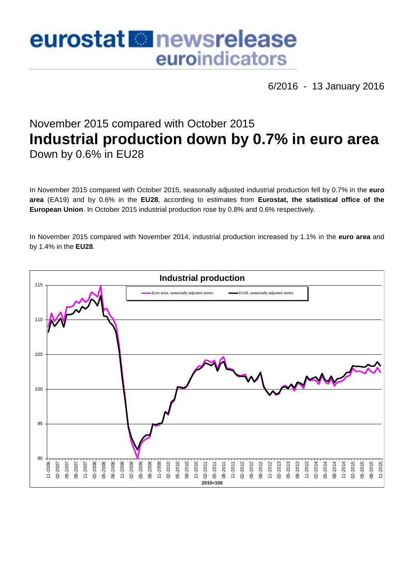# eurostat **B**newsrelease euroindicators

6/2016 - 13 January 2016

# November 2015 compared with October 2015 **Industrial production down by 0.7% in euro area** Down by 0.6% in EU28

In November 2015 compared with October 2015, seasonally adjusted industrial production fell by 0.7% in the **euro area** (EA19) and by 0.6% in the **EU28**, according to estimates from **Eurostat, the statistical office of the European Union**. In October 2015 industrial production rose by 0.8% and 0.6% respectively.

In November 2015 compared with November 2014, industrial production increased by 1.1% in the **euro area** and by 1.4% in the **EU28**.

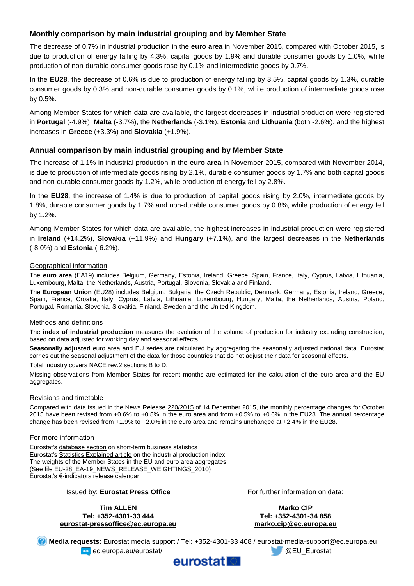## **Monthly comparison by main industrial grouping and by Member State**

The decrease of 0.7% in industrial production in the **euro area** in November 2015, compared with October 2015, is due to production of energy falling by 4.3%, capital goods by 1.9% and durable consumer goods by 1.0%, while production of non-durable consumer goods rose by 0.1% and intermediate goods by 0.7%.

In the **EU28**, the decrease of 0.6% is due to production of energy falling by 3.5%, capital goods by 1.3%, durable consumer goods by 0.3% and non-durable consumer goods by 0.1%, while production of intermediate goods rose by 0.5%.

Among Member States for which data are available, the largest decreases in industrial production were registered in **Portugal** (-4.9%), **Malta** (-3.7%), the **Netherlands** (-3.1%), **Estonia** and **Lithuania** (both -2.6%), and the highest increases in **Greece** (+3.3%) and **Slovakia** (+1.9%).

#### **Annual comparison by main industrial grouping and by Member State**

The increase of 1.1% in industrial production in the **euro area** in November 2015, compared with November 2014, is due to production of intermediate goods rising by 2.1%, durable consumer goods by 1.7% and both capital goods and non-durable consumer goods by 1.2%, while production of energy fell by 2.8%.

In the **EU28**, the increase of 1.4% is due to production of capital goods rising by 2.0%, intermediate goods by 1.8%, durable consumer goods by 1.7% and non-durable consumer goods by 0.8%, while production of energy fell by 1.2%.

Among Member States for which data are available, the highest increases in industrial production were registered in **Ireland** (+14.2%), **Slovakia** (+11.9%) and **Hungary** (+7.1%), and the largest decreases in the **Netherlands** (-8.0%) and **Estonia** (-6.2%).

#### Geographical information

The **euro area** (EA19) includes Belgium, Germany, Estonia, Ireland, Greece, Spain, France, Italy, Cyprus, Latvia, Lithuania, Luxembourg, Malta, the Netherlands, Austria, Portugal, Slovenia, Slovakia and Finland.

The **European Union** (EU28) includes Belgium, Bulgaria, the Czech Republic, Denmark, Germany, Estonia, Ireland, Greece, Spain, France, Croatia, Italy, Cyprus, Latvia, Lithuania, Luxembourg, Hungary, Malta, the Netherlands, Austria, Poland, Portugal, Romania, Slovenia, Slovakia, Finland, Sweden and the United Kingdom.

#### Methods and definitions

The **index of industrial production** measures the evolution of the volume of production for industry excluding construction, based on data adjusted for working day and seasonal effects.

**Seasonally adjusted** euro area and EU series are calculated by aggregating the seasonally adjusted national data. Eurostat carries out the seasonal adjustment of the data for those countries that do not adjust their data for seasonal effects.

Total industry covers [NACE rev.2](http://ec.europa.eu/eurostat/ramon/nomenclatures/index.cfm?TargetUrl=LST_NOM_DTL&StrNom=NACE_REV2&StrLanguageCode=EN&IntPcKey=&StrLayoutCode=HIERARCHIC) sections B to D.

Missing observations from Member States for recent months are estimated for the calculation of the euro area and the EU aggregates.

#### Revisions and timetable

Compared with data issued in the News Release [220/2015](http://ec.europa.eu/eurostat/documents/2995521/7106486/4-14122015-AP-EN.pdf/8a4b1ff5-9e28-4b54-9c33-7ee022c700bc) of 14 December 2015, the monthly percentage changes for October 2015 have been revised from +0.6% to +0.8% in the euro area and from +0.5% to +0.6% in the EU28. The annual percentage change has been revised from +1.9% to +2.0% in the euro area and remains unchanged at +2.4% in the EU28.

#### For more information

Eurostat's [database section](http://ec.europa.eu/eurostat/web/short-term-business-statistics/data/database) on short-term business statistics Eurostat's [Statistics Explained article](http://ec.europa.eu/eurostat/statistics-explained/index.php/Industrial_production_(volume)_index_overview) on the industrial production index Th[e weights of the Member States](https://circabc.europa.eu/w/browse/5e6d1e48-056c-4c6a-8278-3ab138bcf575) in the EU and euro area aggregates (See file EU-28\_EA-19\_NEWS\_RELEASE\_WEIGHTINGS\_2010) Eurostat's €-indicators [release calendar](http://ec.europa.eu/eurostat/news/release-calendar)

Issued by: **Eurostat Press Office**

**Tim ALLEN Tel: +352-4301-33 444 [eurostat-pressoffice@ec.europa.eu](mailto:eurostat-pressoffice@ec.europa.eu)** For further information on data:

**Marko CIP Tel: +352-4301-34 858 [marko.cip@ec.europa.eu](mailto:marko.cip@ec.europa.eu)**

**Media requests**: Eurostat media support / Tel: +352-4301-33 408 / [eurostat-media-support@ec.europa.eu](mailto:eurostat-media-support@ec.europa.eu) **EXAMPLE Example 20 AU EU Eurostat/ CEU Eurostat** 

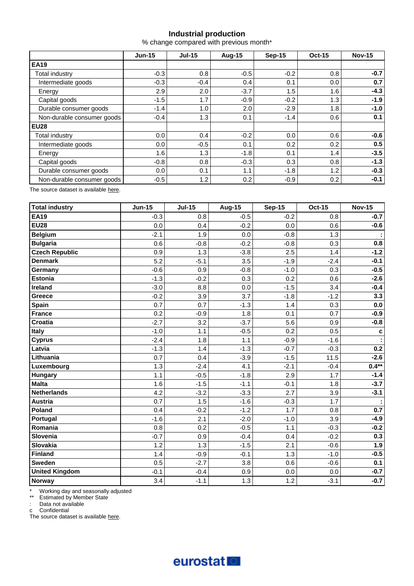# **Industrial production**

% change compared with previous month\*

|                            | $Jun-15$ | $Jul-15$ | <b>Aug-15</b> | <b>Sep-15</b> | <b>Oct-15</b> | <b>Nov-15</b> |  |
|----------------------------|----------|----------|---------------|---------------|---------------|---------------|--|
| <b>EA19</b>                |          |          |               |               |               |               |  |
| Total industry             | $-0.3$   | 0.8      | $-0.5$        | $-0.2$        | 0.8           | $-0.7$        |  |
| Intermediate goods         | $-0.3$   | $-0.4$   | 0.4           | 0.1           | 0.0           | 0.7           |  |
| Energy                     | 2.9      | 2.0      | $-3.7$        | 1.5           | 1.6           | $-4.3$        |  |
| Capital goods              | $-1.5$   | 1.7      | $-0.9$        | $-0.2$        | 1.3           | $-1.9$        |  |
| Durable consumer goods     | $-1.4$   | 1.0      | 2.0           | $-2.9$        | 1.8           | $-1.0$        |  |
| Non-durable consumer goods | $-0.4$   | 1.3      | 0.1           | $-1.4$        | 0.6           | 0.1           |  |
| <b>EU28</b>                |          |          |               |               |               |               |  |
| Total industry             | 0.0      | 0.4      | $-0.2$        | 0.0           | 0.6           | $-0.6$        |  |
| Intermediate goods         | 0.0      | $-0.5$   | 0.1           | 0.2           | 0.2           | 0.5           |  |
| Energy                     | 1.6      | 1.3      | $-1.8$        | 0.1           | 1.4           | $-3.5$        |  |
| Capital goods              | $-0.8$   | 0.8      | $-0.3$        | 0.3           | 0.8           | $-1.3$        |  |
| Durable consumer goods     | 0.0      | 0.1      | 1.1           | $-1.8$        | 1.2           | $-0.3$        |  |
| Non-durable consumer goods | $-0.5$   | 1.2      | 0.2           | $-0.9$        | 0.2           | $-0.1$        |  |

The source dataset is available [here.](http://appsso.eurostat.ec.europa.eu/nui/show.do?query=BOOKMARK_DS-069601_QID_2B77704D_UID_-3F171EB0&layout=TIME,C,X,0;GEO,L,Y,0;NACE_R2,L,Y,1;INDIC_BT,L,Z,0;S_ADJ,L,Z,1;UNIT,L,Z,2;INDICATORS,C,Z,3;&zSelection=DS-069601INDIC_BT,PROD;DS-069601UNIT,PCH_PRE;DS-069601INDICATORS,OBS_FLAG;DS-069601S_ADJ,SWDA;&rankName1=UNIT_1_2_-1_2&rankName2=INDIC-BT_1_2_-1_2&rankName3=INDICATORS_1_2_-1_2&rankName4=S-ADJ_1_2_-1_2&rankName5=TIME_1_0_0_0&rankName6=GEO_1_2_0_1&rankName7=NACE-R2_1_2_1_1&sortC=ASC_-1_FIRST&rStp=&cStp=&rDCh=&cDCh=&rDM=true&cDM=true&footnes=false&empty=false&wai=false&time_mode=ROLLING&time_most_recent=true&lang=EN&cfo=%23%23%23%2C%23%23%23.%23%23%23)

| <b>Total industry</b> | <b>Jun-15</b> | $Jul-15$ | <b>Aug-15</b> | <b>Sep-15</b> | <b>Oct-15</b> | <b>Nov-15</b> |
|-----------------------|---------------|----------|---------------|---------------|---------------|---------------|
| <b>EA19</b>           | $-0.3$        | 0.8      | $-0.5$        | $-0.2$        | 0.8           | $-0.7$        |
| <b>EU28</b>           | 0.0           | 0.4      | $-0.2$        | 0.0           | 0.6           | $-0.6$        |
| <b>Belgium</b>        | $-2.1$        | 1.9      | 0.0           | $-0.8$        | 1.3           |               |
| <b>Bulgaria</b>       | 0.6           | $-0.8$   | $-0.2$        | $-0.8$        | 0.3           | 0.8           |
| <b>Czech Republic</b> | 0.9           | 1.3      | $-3.8$        | 2.5           | 1.4           | $-1.2$        |
| <b>Denmark</b>        | 5.2           | $-5.1$   | 3.5           | $-1.9$        | $-2.4$        | $-0.1$        |
| Germany               | $-0.6$        | 0.9      | $-0.8$        | $-1.0$        | 0.3           | $-0.5$        |
| <b>Estonia</b>        | $-1.3$        | $-0.2$   | 0.3           | 0.2           | 0.6           | $-2.6$        |
| <b>Ireland</b>        | $-3.0$        | 8.8      | 0.0           | $-1.5$        | 3.4           | $-0.4$        |
| Greece                | $-0.2$        | 3.9      | 3.7           | $-1.8$        | $-1.2$        | 3.3           |
| Spain                 | 0.7           | 0.7      | $-1.3$        | 1.4           | 0.3           | 0.0           |
| <b>France</b>         | 0.2           | $-0.9$   | 1.8           | 0.1           | 0.7           | $-0.9$        |
| <b>Croatia</b>        | $-2.7$        | 3.2      | $-3.7$        | 5.6           | 0.9           | $-0.8$        |
| Italy                 | $-1.0$        | 1.1      | $-0.5$        | 0.2           | 0.5           | c             |
| <b>Cyprus</b>         | $-2.4$        | 1.8      | 1.1           | $-0.9$        | $-1.6$        |               |
| Latvia                | $-1.3$        | 1.4      | $-1.3$        | $-0.7$        | $-0.3$        | 0.2           |
| Lithuania             | 0.7           | 0.4      | $-3.9$        | $-1.5$        | 11.5          | $-2.6$        |
| Luxembourg            | 1.3           | $-2.4$   | 4.1           | $-2.1$        | $-0.4$        | $0.4**$       |
| <b>Hungary</b>        | 1.1           | $-0.5$   | $-1.8$        | 2.9           | 1.7           | $-1.4$        |
| <b>Malta</b>          | 1.6           | $-1.5$   | $-1.1$        | $-0.1$        | 1.8           | $-3.7$        |
| <b>Netherlands</b>    | 4.2           | $-3.2$   | $-3.3$        | 2.7           | 3.9           | $-3.1$        |
| <b>Austria</b>        | 0.7           | 1.5      | $-1.6$        | $-0.3$        | 1.7           |               |
| Poland                | 0.4           | $-0.2$   | $-1.2$        | 1.7           | 0.8           | 0.7           |
| Portugal              | $-1.6$        | 2.1      | $-2.0$        | $-1.0$        | 3.9           | $-4.9$        |
| Romania               | 0.8           | 0.2      | $-0.5$        | 1.1           | $-0.3$        | $-0.2$        |
| Slovenia              | $-0.7$        | 0.9      | $-0.4$        | 0.4           | $-0.2$        | 0.3           |
| <b>Slovakia</b>       | 1.2           | 1.3      | $-1.5$        | 2.1           | $-0.6$        | 1.9           |
| <b>Finland</b>        | 1.4           | $-0.9$   | $-0.1$        | 1.3           | $-1.0$        | $-0.5$        |
| <b>Sweden</b>         | 0.5           | $-2.7$   | 3.8           | 0.6           | $-0.6$        | 0.1           |
| <b>United Kingdom</b> | $-0.1$        | $-0.4$   | 0.9           | 0.0           | 0.0           | $-0.7$        |
| Norway                | 3.4           | $-1.1$   | 1.3           | 1.2           | $-3.1$        | $-0.7$        |

\* Working day and seasonally adjusted

\*\* Estimated by Member State

: Data not available

c Confidential

The source dataset is available [here.](http://appsso.eurostat.ec.europa.eu/nui/show.do?query=BOOKMARK_DS-069601_QID_7D7B447E_UID_-3F171EB0&layout=TIME,C,X,0;GEO,L,Y,0;INDIC_BT,L,Z,0;S_ADJ,L,Z,1;UNIT,L,Z,2;NACE_R2,L,Z,3;INDICATORS,C,Z,4;&zSelection=DS-069601NACE_R2,B-D;DS-069601INDIC_BT,PROD;DS-069601UNIT,PCH_PRE;DS-069601INDICATORS,OBS_FLAG;DS-069601S_ADJ,SWDA;&rankName1=UNIT_1_2_-1_2&rankName2=INDIC-BT_1_2_-1_2&rankName3=INDICATORS_1_2_-1_2&rankName4=S-ADJ_1_2_-1_2&rankName5=NACE-R2_1_2_1_1&rankName6=TIME_1_0_0_0&rankName7=GEO_1_2_0_1&sortC=ASC_-1_FIRST&rStp=&cStp=&rDCh=&cDCh=&rDM=true&cDM=true&footnes=false&empty=false&wai=false&time_mode=ROLLING&time_most_recent=true&lang=EN&cfo=%23%23%23%2C%23%23%23.%23%23%23)

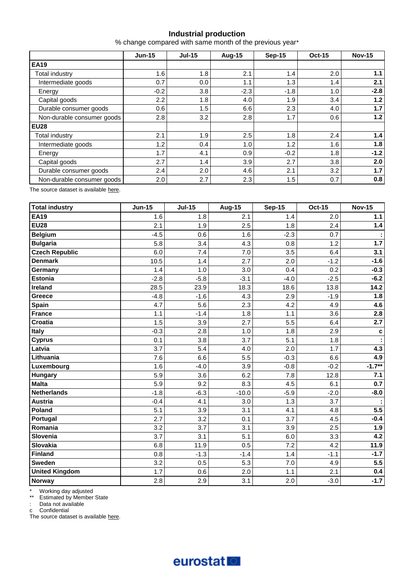## **Industrial production**

% change compared with same month of the previous year\*

|                            | $Jun-15$ | $Jul-15$ | <b>Aug-15</b> | <b>Sep-15</b> | <b>Oct-15</b> | <b>Nov-15</b> |  |
|----------------------------|----------|----------|---------------|---------------|---------------|---------------|--|
| <b>EA19</b>                |          |          |               |               |               |               |  |
| Total industry             | 1.6      | 1.8      | 2.1           | 1.4           | 2.0           | 1.1           |  |
| Intermediate goods         | 0.7      | $0.0\,$  | 1.1           | 1.3           | 1.4           | 2.1           |  |
| Energy                     | $-0.2$   | 3.8      | $-2.3$        | $-1.8$        | 1.0           | $-2.8$        |  |
| Capital goods              | 2.2      | 1.8      | 4.0           | 1.9           | 3.4           | 1.2           |  |
| Durable consumer goods     | 0.6      | 1.5      | 6.6           | 2.3           | 4.0           | 1.7           |  |
| Non-durable consumer goods | 2.8      | 3.2      | 2.8           | 1.7           | 0.6           | 1.2           |  |
| <b>EU28</b>                |          |          |               |               |               |               |  |
| Total industry             | 2.1      | 1.9      | 2.5           | 1.8           | 2.4           | 1.4           |  |
| Intermediate goods         | 1.2      | 0.4      | 1.0           | 1.2           | 1.6           | 1.8           |  |
| Energy                     | 1.7      | 4.1      | 0.9           | $-0.2$        | 1.8           | $-1.2$        |  |
| Capital goods              | 2.7      | 1.4      | 3.9           | 2.7           | 3.8           | 2.0           |  |
| Durable consumer goods     | 2.4      | 2.0      | 4.6           | 2.1           | 3.2           | 1.7           |  |
| Non-durable consumer goods | 2.0      | 2.7      | 2.3           | 1.5           | 0.7           | 0.8           |  |

The source dataset is available [here.](http://appsso.eurostat.ec.europa.eu/nui/show.do?query=BOOKMARK_DS-069601_QID_-25C68083_UID_-3F171EB0&layout=TIME,C,X,0;GEO,L,Y,0;NACE_R2,L,Y,1;INDIC_BT,L,Z,0;S_ADJ,L,Z,1;UNIT,L,Z,2;INDICATORS,C,Z,3;&zSelection=DS-069601INDIC_BT,PROD;DS-069601UNIT,PCH_PRE;DS-069601INDICATORS,OBS_FLAG;DS-069601S_ADJ,SWDA;&rankName1=UNIT_1_2_-1_2&rankName2=INDIC-BT_1_2_-1_2&rankName3=INDICATORS_1_2_-1_2&rankName4=S-ADJ_1_2_-1_2&rankName5=TIME_1_0_0_0&rankName6=GEO_1_2_0_1&rankName7=NACE-R2_1_2_1_1&sortC=ASC_-1_FIRST&rStp=&cStp=&rDCh=&cDCh=&rDM=true&cDM=true&footnes=false&empty=false&wai=false&time_mode=ROLLING&time_most_recent=true&lang=EN&cfo=%23%23%23%2C%23%23%23.%23%23%23)

| <b>Total industry</b> | <b>Jun-15</b> | <b>Jul-15</b> | <b>Aug-15</b> | <b>Sep-15</b> | Oct-15 | <b>Nov-15</b> |
|-----------------------|---------------|---------------|---------------|---------------|--------|---------------|
| <b>EA19</b>           | 1.6           | 1.8           | 2.1           | 1.4           | 2.0    | $1.1$         |
| <b>EU28</b>           | 2.1           | 1.9           | 2.5           | 1.8           | 2.4    | 1.4           |
| <b>Belgium</b>        | $-4.5$        | 0.6           | 1.6           | $-2.3$        | 0.7    |               |
| <b>Bulgaria</b>       | 5.8           | 3.4           | 4.3           | 0.8           | 1.2    | $1.7$         |
| <b>Czech Republic</b> | 6.0           | 7.4           | 7.0           | 3.5           | 6.4    | 3.1           |
| <b>Denmark</b>        | 10.5          | 1.4           | 2.7           | 2.0           | $-1.2$ | $-1.6$        |
| Germany               | 1.4           | 1.0           | 3.0           | 0.4           | 0.2    | $-0.3$        |
| <b>Estonia</b>        | $-2.8$        | $-5.8$        | $-3.1$        | $-4.0$        | $-2.5$ | $-6.2$        |
| <b>Ireland</b>        | 28.5          | 23.9          | 18.3          | 18.6          | 13.8   | 14.2          |
| <b>Greece</b>         | $-4.8$        | $-1.6$        | 4.3           | 2.9           | $-1.9$ | 1.8           |
| <b>Spain</b>          | 4.7           | 5.6           | 2.3           | 4.2           | 4.9    | 4.6           |
| <b>France</b>         | 1.1           | $-1.4$        | 1.8           | 1.1           | 3.6    | 2.8           |
| <b>Croatia</b>        | 1.5           | 3.9           | 2.7           | 5.5           | 6.4    | 2.7           |
| Italy                 | $-0.3$        | 2.8           | 1.0           | 1.8           | 2.9    | c             |
| <b>Cyprus</b>         | 0.1           | 3.8           | 3.7           | 5.1           | 1.8    |               |
| Latvia                | 3.7           | 5.4           | 4.0           | 2.0           | 1.7    | 4.3           |
| Lithuania             | 7.6           | 6.6           | 5.5           | $-0.3$        | 6.6    | 4.9           |
| Luxembourg            | 1.6           | $-4.0$        | 3.9           | $-0.8$        | $-0.2$ | $-1.7**$      |
| Hungary               | 5.9           | 3.6           | 6.2           | 7.8           | 12.8   | 7.1           |
| <b>Malta</b>          | 5.9           | 9.2           | 8.3           | 4.5           | 6.1    | 0.7           |
| <b>Netherlands</b>    | $-1.8$        | $-6.3$        | $-10.0$       | $-5.9$        | $-2.0$ | $-8.0$        |
| <b>Austria</b>        | $-0.4$        | 4.1           | 3.0           | 1.3           | 3.7    |               |
| Poland                | 5.1           | 3.9           | 3.1           | 4.1           | 4.8    | 5.5           |
| Portugal              | 2.7           | 3.2           | 0.1           | 3.7           | 4.5    | $-0.4$        |
| Romania               | 3.2           | 3.7           | 3.1           | 3.9           | 2.5    | 1.9           |
| Slovenia              | 3.7           | 3.1           | 5.1           | 6.0           | 3.3    | 4.2           |
| <b>Slovakia</b>       | 6.8           | 11.9          | 0.5           | 7.2           | 4.2    | 11.9          |
| <b>Finland</b>        | 0.8           | $-1.3$        | $-1.4$        | 1.4           | $-1.1$ | $-1.7$        |
| <b>Sweden</b>         | 3.2           | 0.5           | 5.3           | 7.0           | 4.9    | 5.5           |
| <b>United Kingdom</b> | 1.7           | 0.6           | 2.0           | 1.1           | 2.1    | 0.4           |
| Norway                | 2.8           | 2.9           | 3.1           | 2.0           | $-3.0$ | $-1.7$        |

\* Working day adjusted

\*\* Estimated by Member State

: Data not available

c Confidential

The source dataset is available [here.](http://appsso.eurostat.ec.europa.eu/nui/show.do?query=BOOKMARK_DS-069601_QID_-62B5D3E4_UID_-3F171EB0&layout=TIME,C,X,0;GEO,L,Y,0;INDIC_BT,L,Z,0;S_ADJ,L,Z,1;UNIT,L,Z,2;NACE_R2,L,Z,3;INDICATORS,C,Z,4;&zSelection=DS-069601NACE_R2,B-D;DS-069601INDIC_BT,PROD;DS-069601UNIT,PCH_SM;DS-069601INDICATORS,OBS_FLAG;DS-069601S_ADJ,WDA;&rankName1=UNIT_1_2_-1_2&rankName2=INDIC-BT_1_2_-1_2&rankName3=INDICATORS_1_2_-1_2&rankName4=S-ADJ_1_2_-1_2&rankName5=NACE-R2_1_2_1_1&rankName6=TIME_1_0_0_0&rankName7=GEO_1_2_0_1&sortC=ASC_-1_FIRST&rStp=&cStp=&rDCh=&cDCh=&rDM=true&cDM=true&footnes=false&empty=false&wai=false&time_mode=ROLLING&time_most_recent=true&lang=EN&cfo=%23%23%23%2C%23%23%23.%23%23%23)

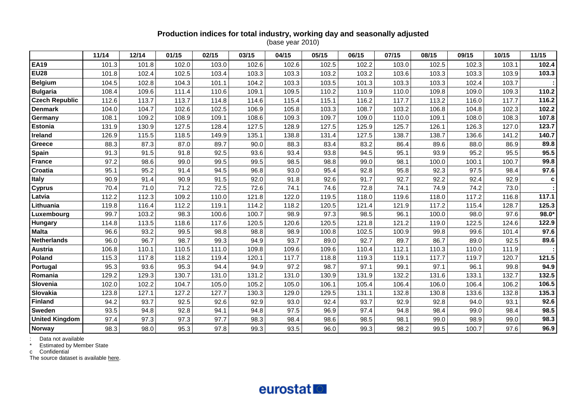# **Production indices for total industry, working day and seasonally adjusted**

(base year 2010)

|                       | 11/14 | 12/14 | 01/15 | 02/15 | 03/15 | 04/15 | 05/15 | 06/15 | 07/15 | 08/15 | 09/15 | 10/15 | 11/15 |
|-----------------------|-------|-------|-------|-------|-------|-------|-------|-------|-------|-------|-------|-------|-------|
| <b>EA19</b>           | 101.3 | 101.8 | 102.0 | 103.0 | 102.6 | 102.6 | 102.5 | 102.2 | 103.0 | 102.5 | 102.3 | 103.1 | 102.4 |
| <b>EU28</b>           | 101.8 | 102.4 | 102.5 | 103.4 | 103.3 | 103.3 | 103.2 | 103.2 | 103.6 | 103.3 | 103.3 | 103.9 | 103.3 |
| <b>Belgium</b>        | 104.5 | 102.8 | 104.3 | 101.1 | 104.2 | 103.3 | 103.5 | 101.3 | 103.3 | 103.3 | 102.4 | 103.7 |       |
| <b>Bulgaria</b>       | 108.4 | 109.6 | 111.4 | 110.6 | 109.1 | 109.5 | 110.2 | 110.9 | 110.0 | 109.8 | 109.0 | 109.3 | 110.2 |
| <b>Czech Republic</b> | 112.6 | 113.7 | 113.7 | 114.8 | 114.6 | 115.4 | 115.1 | 116.2 | 117.7 | 113.2 | 116.0 | 117.7 | 116.2 |
| <b>Denmark</b>        | 104.0 | 104.7 | 102.6 | 102.5 | 106.9 | 105.8 | 103.3 | 108.7 | 103.2 | 106.8 | 104.8 | 102.3 | 102.2 |
| Germany               | 108.1 | 109.2 | 108.9 | 109.1 | 108.6 | 109.3 | 109.7 | 109.0 | 110.0 | 109.1 | 108.0 | 108.3 | 107.8 |
| <b>Estonia</b>        | 131.9 | 130.9 | 127.5 | 128.4 | 127.5 | 128.9 | 127.5 | 125.9 | 125.7 | 126.1 | 126.3 | 127.0 | 123.7 |
| Ireland               | 126.9 | 115.5 | 118.5 | 149.9 | 135.1 | 138.8 | 131.4 | 127.5 | 138.7 | 138.7 | 136.6 | 141.2 | 140.7 |
| Greece                | 88.3  | 87.3  | 87.0  | 89.7  | 90.0  | 88.3  | 83.4  | 83.2  | 86.4  | 89.6  | 88.0  | 86.9  | 89.8  |
| <b>Spain</b>          | 91.3  | 91.5  | 91.8  | 92.5  | 93.6  | 93.4  | 93.8  | 94.5  | 95.1  | 93.9  | 95.2  | 95.5  | 95.5  |
| <b>France</b>         | 97.2  | 98.6  | 99.0  | 99.5  | 99.5  | 98.5  | 98.8  | 99.0  | 98.1  | 100.0 | 100.1 | 100.7 | 99.8  |
| Croatia               | 95.1  | 95.2  | 91.4  | 94.5  | 96.8  | 93.0  | 95.4  | 92.8  | 95.8  | 92.3  | 97.5  | 98.4  | 97.6  |
| <b>Italy</b>          | 90.9  | 91.4  | 90.9  | 91.5  | 92.0  | 91.8  | 92.6  | 91.7  | 92.7  | 92.2  | 92.4  | 92.9  | C     |
| <b>Cyprus</b>         | 70.4  | 71.0  | 71.2  | 72.5  | 72.6  | 74.1  | 74.6  | 72.8  | 74.1  | 74.9  | 74.2  | 73.0  |       |
| Latvia                | 112.2 | 112.3 | 109.2 | 110.0 | 121.8 | 122.0 | 119.5 | 118.0 | 119.6 | 118.0 | 117.2 | 116.8 | 117.1 |
| Lithuania             | 119.8 | 116.4 | 112.2 | 119.1 | 114.2 | 118.2 | 120.5 | 121.4 | 121.9 | 117.2 | 115.4 | 128.7 | 125.3 |
| Luxembourg            | 99.7  | 103.2 | 98.3  | 100.6 | 100.7 | 98.9  | 97.3  | 98.5  | 96.1  | 100.0 | 98.0  | 97.6  | 98.0* |
| <b>Hungary</b>        | 114.8 | 113.5 | 118.6 | 117.6 | 120.5 | 120.6 | 120.5 | 121.8 | 121.2 | 119.0 | 122.5 | 124.6 | 122.9 |
| <b>Malta</b>          | 96.6  | 93.2  | 99.5  | 98.8  | 98.8  | 98.9  | 100.8 | 102.5 | 100.9 | 99.8  | 99.6  | 101.4 | 97.6  |
| <b>Netherlands</b>    | 96.0  | 96.7  | 98.7  | 99.3  | 94.9  | 93.7  | 89.0  | 92.7  | 89.7  | 86.7  | 89.0  | 92.5  | 89.6  |
| <b>Austria</b>        | 106.8 | 110.1 | 110.5 | 111.0 | 109.8 | 109.6 | 109.6 | 110.4 | 112.1 | 110.3 | 110.0 | 111.9 |       |
| Poland                | 115.3 | 117.8 | 118.2 | 119.4 | 120.1 | 117.7 | 118.8 | 119.3 | 119.1 | 117.7 | 119.7 | 120.7 | 121.5 |
| Portugal              | 95.3  | 93.6  | 95.3  | 94.4  | 94.9  | 97.2  | 98.7  | 97.1  | 99.1  | 97.1  | 96.1  | 99.8  | 94.9  |
| Romania               | 129.2 | 129.3 | 130.7 | 131.0 | 131.2 | 131.0 | 130.9 | 131.9 | 132.2 | 131.6 | 133.1 | 132.7 | 132.5 |
| Slovenia              | 102.0 | 102.2 | 104.7 | 105.0 | 105.2 | 105.0 | 106.1 | 105.4 | 106.4 | 106.0 | 106.4 | 106.2 | 106.5 |
| Slovakia              | 123.8 | 127.1 | 127.2 | 127.7 | 130.3 | 129.0 | 129.5 | 131.1 | 132.8 | 130.8 | 133.6 | 132.8 | 135.3 |
| <b>Finland</b>        | 94.2  | 93.7  | 92.5  | 92.6  | 92.9  | 93.0  | 92.4  | 93.7  | 92.9  | 92.8  | 94.0  | 93.1  | 92.6  |
| Sweden                | 93.5  | 94.8  | 92.8  | 94.1  | 94.8  | 97.5  | 96.9  | 97.4  | 94.8  | 98.4  | 99.0  | 98.4  | 98.5  |
| <b>United Kingdom</b> | 97.4  | 97.3  | 97.3  | 97.7  | 98.3  | 98.4  | 98.6  | 98.5  | 98.1  | 99.0  | 98.9  | 99.0  | 98.3  |
| Norway                | 98.3  | 98.0  | 95.3  | 97.8  | 99.3  | 93.5  | 96.0  | 99.3  | 98.2  | 99.5  | 100.7 | 97.6  | 96.9  |

: Data not available

\* Estimated by Member State

The source dataset is availabl[e here.](http://appsso.eurostat.ec.europa.eu/nui/show.do?query=BOOKMARK_DS-069583_QID_58A8FBF4_UID_-3F171EB0&layout=TIME,C,X,0;GEO,L,Y,0;INDIC_BT,L,Z,0;NACE_R2,L,Z,1;S_ADJ,L,Z,2;INDICATORS,C,Z,3;&zSelection=DS-069583S_ADJ,SWDA;DS-069583INDIC_BT,PROD;DS-069583INDICATORS,OBS_FLAG;DS-069583NACE_R2,B-D;&rankName1=INDIC-BT_1_2_-1_2&rankName2=INDICATORS_1_2_-1_2&rankName3=S-ADJ_1_2_-1_2&rankName4=NACE-R2_1_2_-1_2&rankName5=TIME_1_0_0_0&rankName6=GEO_1_2_0_1&sortC=ASC_-1_FIRST&rStp=&cStp=&rDCh=&cDCh=&rDM=true&cDM=true&footnes=false&empty=false&wai=false&time_mode=ROLLING&time_most_recent=true&lang=EN&cfo=%23%23%23%2C%23%23%23.%23%23%23)



c Confidential